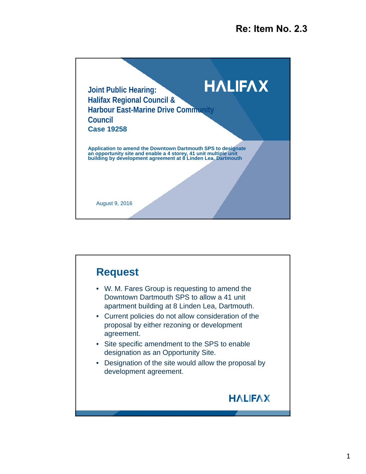

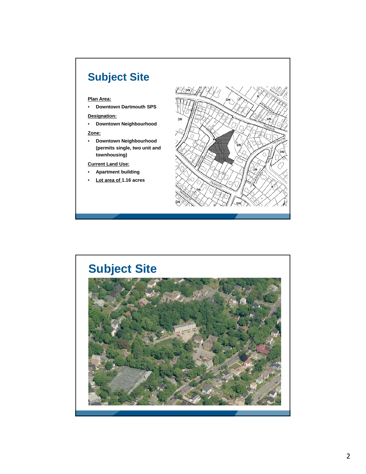# **Subject Site**

#### **Plan Area:**

• **Downtown Dartmouth SPS**

#### **Designation:**

• **Downtown Neighbourhood**

#### **Zone:**

• **Downtown Neighbourhood (permits single, two unit and townhousing)**

#### **Current Land Use:**

- **Apartment building**
- **Lot area of 1.16 acres**



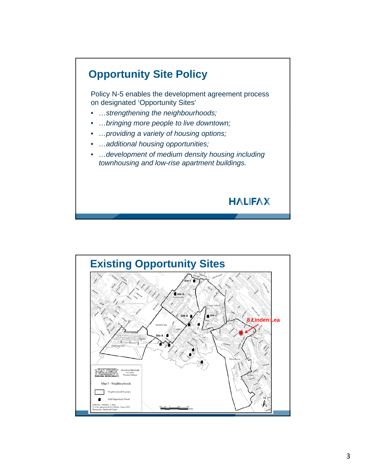

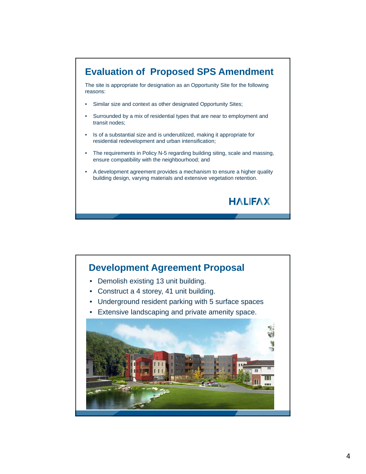

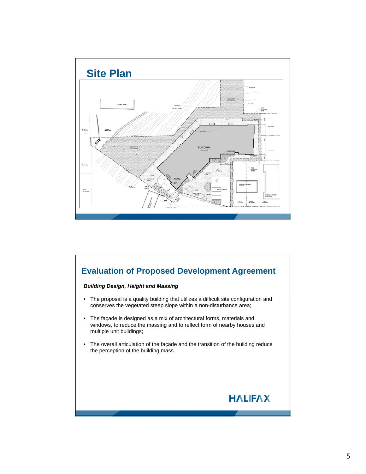

### **Evaluation of Proposed Development Agreement**

#### *Building Design, Height and Massing*

- The proposal is a quality building that utilizes a difficult site configuration and conserves the vegetated steep slope within a non-disturbance area;
- The façade is designed as a mix of architectural forms, materials and windows, to reduce the massing and to reflect form of nearby houses and multiple unit buildings;
- The overall articulation of the façade and the transition of the building reduce the perception of the building mass.

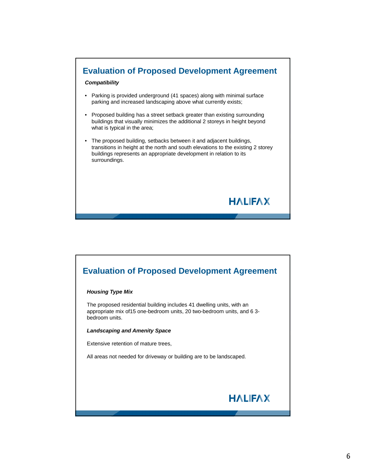